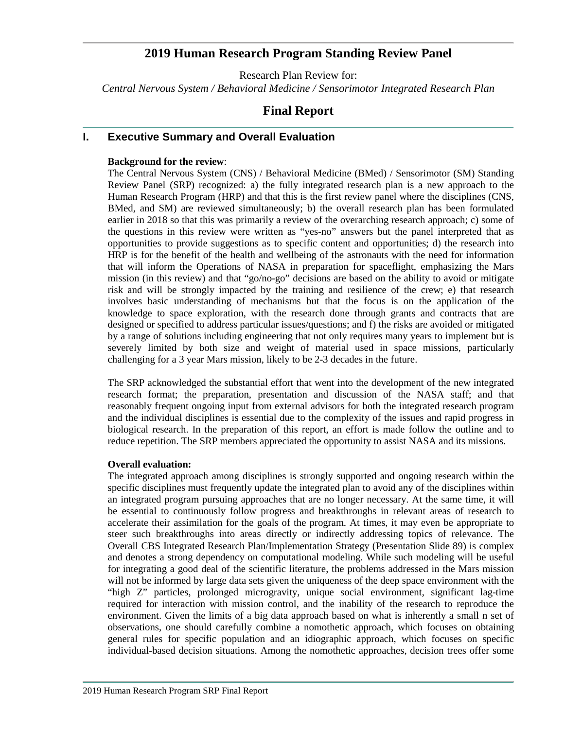# **2019 Human Research Program Standing Review Panel**

Research Plan Review for: *Central Nervous System / Behavioral Medicine / Sensorimotor Integrated Research Plan*

# **Final Report**

# **I. Executive Summary and Overall Evaluation**

# **Background for the review**:

The Central Nervous System (CNS) / Behavioral Medicine (BMed) / Sensorimotor (SM) Standing Review Panel (SRP) recognized: a) the fully integrated research plan is a new approach to the Human Research Program (HRP) and that this is the first review panel where the disciplines (CNS, BMed, and SM) are reviewed simultaneously; b) the overall research plan has been formulated earlier in 2018 so that this was primarily a review of the overarching research approach; c) some of the questions in this review were written as "yes-no" answers but the panel interpreted that as opportunities to provide suggestions as to specific content and opportunities; d) the research into HRP is for the benefit of the health and wellbeing of the astronauts with the need for information that will inform the Operations of NASA in preparation for spaceflight, emphasizing the Mars mission (in this review) and that "go/no-go" decisions are based on the ability to avoid or mitigate risk and will be strongly impacted by the training and resilience of the crew; e) that research involves basic understanding of mechanisms but that the focus is on the application of the knowledge to space exploration, with the research done through grants and contracts that are designed or specified to address particular issues/questions; and f) the risks are avoided or mitigated by a range of solutions including engineering that not only requires many years to implement but is severely limited by both size and weight of material used in space missions, particularly challenging for a 3 year Mars mission, likely to be 2-3 decades in the future.

The SRP acknowledged the substantial effort that went into the development of the new integrated research format; the preparation, presentation and discussion of the NASA staff; and that reasonably frequent ongoing input from external advisors for both the integrated research program and the individual disciplines is essential due to the complexity of the issues and rapid progress in biological research. In the preparation of this report, an effort is made follow the outline and to reduce repetition. The SRP members appreciated the opportunity to assist NASA and its missions.

### **Overall evaluation:**

The integrated approach among disciplines is strongly supported and ongoing research within the specific disciplines must frequently update the integrated plan to avoid any of the disciplines within an integrated program pursuing approaches that are no longer necessary. At the same time, it will be essential to continuously follow progress and breakthroughs in relevant areas of research to accelerate their assimilation for the goals of the program. At times, it may even be appropriate to steer such breakthroughs into areas directly or indirectly addressing topics of relevance. The Overall CBS Integrated Research Plan/Implementation Strategy (Presentation Slide 89) is complex and denotes a strong dependency on computational modeling. While such modeling will be useful for integrating a good deal of the scientific literature, the problems addressed in the Mars mission will not be informed by large data sets given the uniqueness of the deep space environment with the "high Z" particles, prolonged microgravity, unique social environment, significant lag-time required for interaction with mission control, and the inability of the research to reproduce the environment. Given the limits of a big data approach based on what is inherently a small n set of observations, one should carefully combine a nomothetic approach, which focuses on obtaining general rules for specific population and an idiographic approach, which focuses on specific individual-based decision situations. Among the nomothetic approaches, decision trees offer some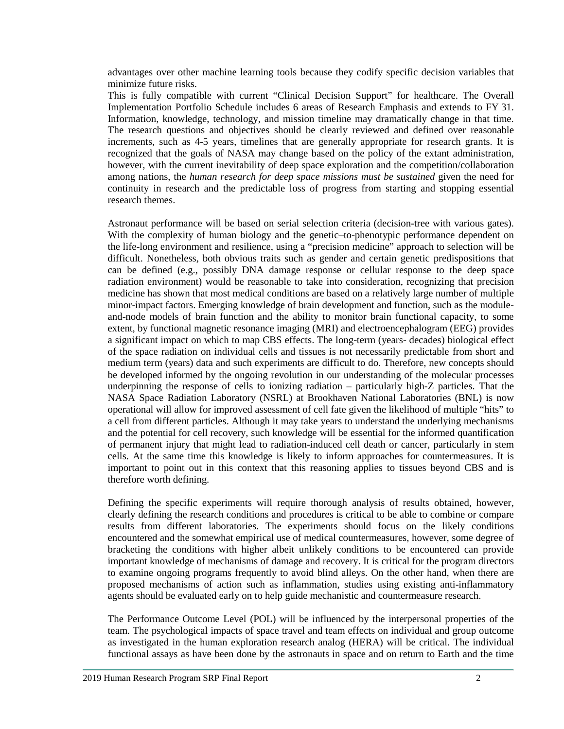advantages over other machine learning tools because they codify specific decision variables that minimize future risks.

This is fully compatible with current "Clinical Decision Support" for healthcare. The Overall Implementation Portfolio Schedule includes 6 areas of Research Emphasis and extends to FY 31. Information, knowledge, technology, and mission timeline may dramatically change in that time. The research questions and objectives should be clearly reviewed and defined over reasonable increments, such as 4-5 years, timelines that are generally appropriate for research grants. It is recognized that the goals of NASA may change based on the policy of the extant administration, however, with the current inevitability of deep space exploration and the competition/collaboration among nations, the *human research for deep space missions must be sustained* given the need for continuity in research and the predictable loss of progress from starting and stopping essential research themes.

Astronaut performance will be based on serial selection criteria (decision-tree with various gates). With the complexity of human biology and the genetic–to-phenotypic performance dependent on the life-long environment and resilience, using a "precision medicine" approach to selection will be difficult. Nonetheless, both obvious traits such as gender and certain genetic predispositions that can be defined (e.g., possibly DNA damage response or cellular response to the deep space radiation environment) would be reasonable to take into consideration, recognizing that precision medicine has shown that most medical conditions are based on a relatively large number of multiple minor-impact factors. Emerging knowledge of brain development and function, such as the moduleand-node models of brain function and the ability to monitor brain functional capacity, to some extent, by functional magnetic resonance imaging (MRI) and electroencephalogram (EEG) provides a significant impact on which to map CBS effects. The long-term (years- decades) biological effect of the space radiation on individual cells and tissues is not necessarily predictable from short and medium term (years) data and such experiments are difficult to do. Therefore, new concepts should be developed informed by the ongoing revolution in our understanding of the molecular processes underpinning the response of cells to ionizing radiation – particularly high-Z particles. That the NASA Space Radiation Laboratory (NSRL) at Brookhaven National Laboratories (BNL) is now operational will allow for improved assessment of cell fate given the likelihood of multiple "hits" to a cell from different particles. Although it may take years to understand the underlying mechanisms and the potential for cell recovery, such knowledge will be essential for the informed quantification of permanent injury that might lead to radiation-induced cell death or cancer, particularly in stem cells. At the same time this knowledge is likely to inform approaches for countermeasures. It is important to point out in this context that this reasoning applies to tissues beyond CBS and is therefore worth defining.

Defining the specific experiments will require thorough analysis of results obtained, however, clearly defining the research conditions and procedures is critical to be able to combine or compare results from different laboratories. The experiments should focus on the likely conditions encountered and the somewhat empirical use of medical countermeasures, however, some degree of bracketing the conditions with higher albeit unlikely conditions to be encountered can provide important knowledge of mechanisms of damage and recovery. It is critical for the program directors to examine ongoing programs frequently to avoid blind alleys. On the other hand, when there are proposed mechanisms of action such as inflammation, studies using existing anti-inflammatory agents should be evaluated early on to help guide mechanistic and countermeasure research.

The Performance Outcome Level (POL) will be influenced by the interpersonal properties of the team. The psychological impacts of space travel and team effects on individual and group outcome as investigated in the human exploration research analog (HERA) will be critical. The individual functional assays as have been done by the astronauts in space and on return to Earth and the time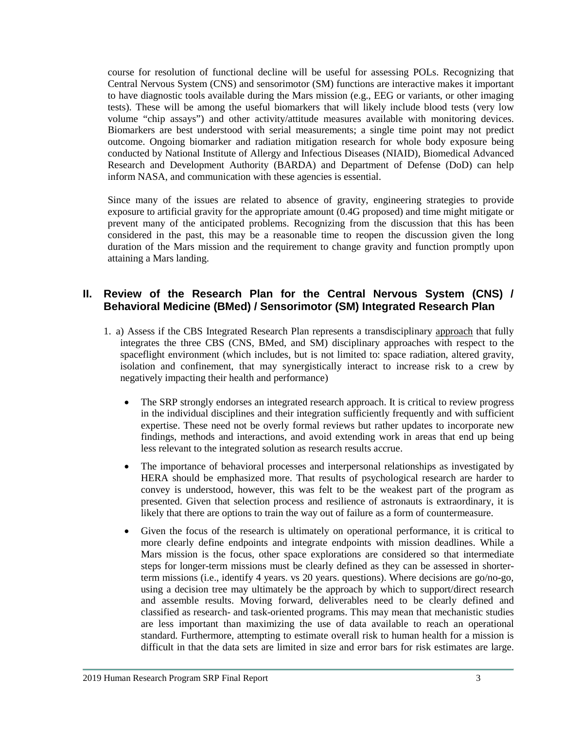course for resolution of functional decline will be useful for assessing POLs. Recognizing that Central Nervous System (CNS) and sensorimotor (SM) functions are interactive makes it important to have diagnostic tools available during the Mars mission (e.g., EEG or variants, or other imaging tests). These will be among the useful biomarkers that will likely include blood tests (very low volume "chip assays") and other activity/attitude measures available with monitoring devices. Biomarkers are best understood with serial measurements; a single time point may not predict outcome. Ongoing biomarker and radiation mitigation research for whole body exposure being conducted by National Institute of Allergy and Infectious Diseases (NIAID), Biomedical Advanced Research and Development Authority (BARDA) and Department of Defense (DoD) can help inform NASA, and communication with these agencies is essential.

Since many of the issues are related to absence of gravity, engineering strategies to provide exposure to artificial gravity for the appropriate amount (0.4G proposed) and time might mitigate or prevent many of the anticipated problems. Recognizing from the discussion that this has been considered in the past, this may be a reasonable time to reopen the discussion given the long duration of the Mars mission and the requirement to change gravity and function promptly upon attaining a Mars landing.

# **II. Review of the Research Plan for the Central Nervous System (CNS) / Behavioral Medicine (BMed) / Sensorimotor (SM) Integrated Research Plan**

- 1. a) Assess if the CBS Integrated Research Plan represents a transdisciplinary approach that fully integrates the three CBS (CNS, BMed, and SM) disciplinary approaches with respect to the spaceflight environment (which includes, but is not limited to: space radiation, altered gravity, isolation and confinement, that may synergistically interact to increase risk to a crew by negatively impacting their health and performance)
	- The SRP strongly endorses an integrated research approach. It is critical to review progress in the individual disciplines and their integration sufficiently frequently and with sufficient expertise. These need not be overly formal reviews but rather updates to incorporate new findings, methods and interactions, and avoid extending work in areas that end up being less relevant to the integrated solution as research results accrue.
	- The importance of behavioral processes and interpersonal relationships as investigated by HERA should be emphasized more. That results of psychological research are harder to convey is understood, however, this was felt to be the weakest part of the program as presented. Given that selection process and resilience of astronauts is extraordinary, it is likely that there are options to train the way out of failure as a form of countermeasure.
	- Given the focus of the research is ultimately on operational performance, it is critical to more clearly define endpoints and integrate endpoints with mission deadlines. While a Mars mission is the focus, other space explorations are considered so that intermediate steps for longer-term missions must be clearly defined as they can be assessed in shorterterm missions (i.e., identify 4 years. vs 20 years. questions). Where decisions are go/no-go, using a decision tree may ultimately be the approach by which to support/direct research and assemble results. Moving forward, deliverables need to be clearly defined and classified as research- and task-oriented programs. This may mean that mechanistic studies are less important than maximizing the use of data available to reach an operational standard. Furthermore, attempting to estimate overall risk to human health for a mission is difficult in that the data sets are limited in size and error bars for risk estimates are large.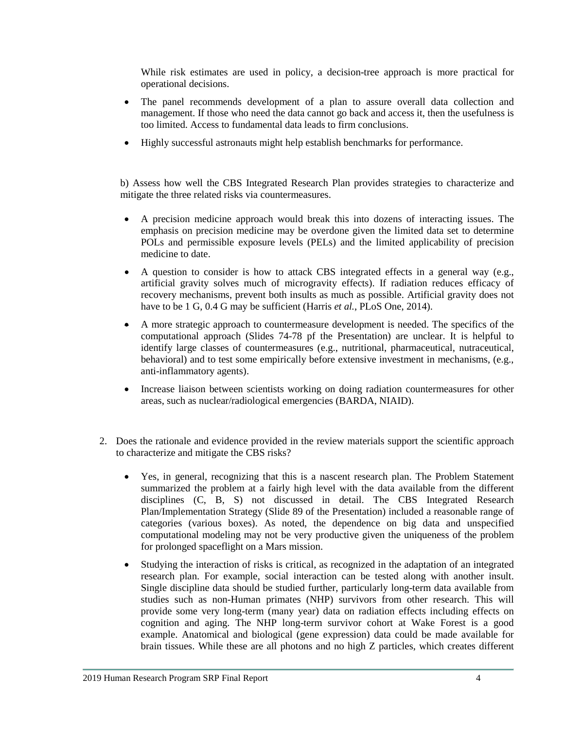While risk estimates are used in policy, a decision-tree approach is more practical for operational decisions.

- The panel recommends development of a plan to assure overall data collection and management. If those who need the data cannot go back and access it, then the usefulness is too limited. Access to fundamental data leads to firm conclusions.
- Highly successful astronauts might help establish benchmarks for performance.

b) Assess how well the CBS Integrated Research Plan provides strategies to characterize and mitigate the three related risks via countermeasures.

- A precision medicine approach would break this into dozens of interacting issues. The emphasis on precision medicine may be overdone given the limited data set to determine POLs and permissible exposure levels (PELs) and the limited applicability of precision medicine to date.
- A question to consider is how to attack CBS integrated effects in a general way (e.g., artificial gravity solves much of microgravity effects). If radiation reduces efficacy of recovery mechanisms, prevent both insults as much as possible. Artificial gravity does not have to be 1 G, 0.4 G may be sufficient (Harris *et al.*, PLoS One, 2014).
- A more strategic approach to countermeasure development is needed. The specifics of the computational approach (Slides 74-78 pf the Presentation) are unclear. It is helpful to identify large classes of countermeasures (e.g., nutritional, pharmaceutical, nutraceutical, behavioral) and to test some empirically before extensive investment in mechanisms, (e.g., anti-inflammatory agents).
- Increase liaison between scientists working on doing radiation countermeasures for other areas, such as nuclear/radiological emergencies (BARDA, NIAID).
- 2. Does the rationale and evidence provided in the review materials support the scientific approach to characterize and mitigate the CBS risks?
	- Yes, in general, recognizing that this is a nascent research plan. The Problem Statement summarized the problem at a fairly high level with the data available from the different disciplines (C, B, S) not discussed in detail. The CBS Integrated Research Plan/Implementation Strategy (Slide 89 of the Presentation) included a reasonable range of categories (various boxes). As noted, the dependence on big data and unspecified computational modeling may not be very productive given the uniqueness of the problem for prolonged spaceflight on a Mars mission.
	- Studying the interaction of risks is critical, as recognized in the adaptation of an integrated research plan. For example, social interaction can be tested along with another insult. Single discipline data should be studied further, particularly long-term data available from studies such as non-Human primates (NHP) survivors from other research. This will provide some very long-term (many year) data on radiation effects including effects on cognition and aging. The NHP long-term survivor cohort at Wake Forest is a good example. Anatomical and biological (gene expression) data could be made available for brain tissues. While these are all photons and no high Z particles, which creates different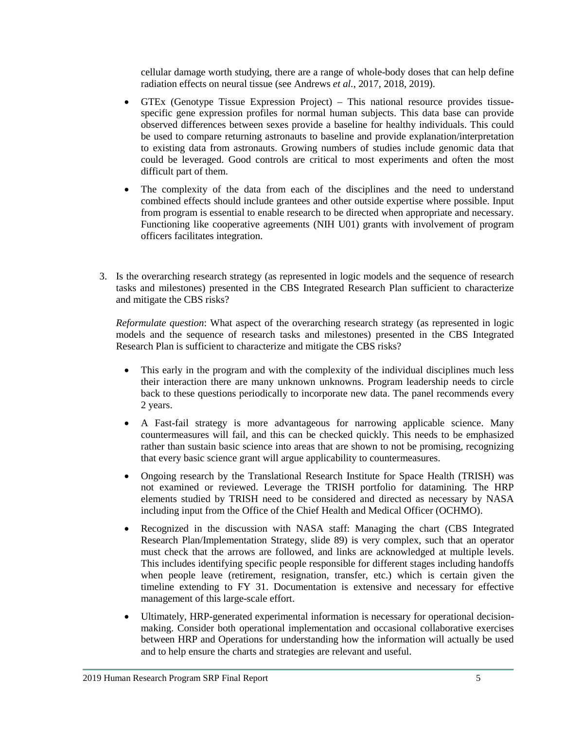cellular damage worth studying, there are a range of whole-body doses that can help define radiation effects on neural tissue (see Andrews *et al.*, 2017, 2018, 2019).

- GTEx (Genotype Tissue Expression Project) This national resource provides tissuespecific gene expression profiles for normal human subjects. This data base can provide observed differences between sexes provide a baseline for healthy individuals. This could be used to compare returning astronauts to baseline and provide explanation/interpretation to existing data from astronauts. Growing numbers of studies include genomic data that could be leveraged. Good controls are critical to most experiments and often the most difficult part of them.
- The complexity of the data from each of the disciplines and the need to understand combined effects should include grantees and other outside expertise where possible. Input from program is essential to enable research to be directed when appropriate and necessary. Functioning like cooperative agreements (NIH U01) grants with involvement of program officers facilitates integration.
- 3. Is the overarching research strategy (as represented in logic models and the sequence of research tasks and milestones) presented in the CBS Integrated Research Plan sufficient to characterize and mitigate the CBS risks?

*Reformulate question*: What aspect of the overarching research strategy (as represented in logic models and the sequence of research tasks and milestones) presented in the CBS Integrated Research Plan is sufficient to characterize and mitigate the CBS risks?

- This early in the program and with the complexity of the individual disciplines much less their interaction there are many unknown unknowns. Program leadership needs to circle back to these questions periodically to incorporate new data. The panel recommends every 2 years.
- A Fast-fail strategy is more advantageous for narrowing applicable science. Many countermeasures will fail, and this can be checked quickly. This needs to be emphasized rather than sustain basic science into areas that are shown to not be promising, recognizing that every basic science grant will argue applicability to countermeasures.
- Ongoing research by the Translational Research Institute for Space Health (TRISH) was not examined or reviewed. Leverage the TRISH portfolio for datamining. The HRP elements studied by TRISH need to be considered and directed as necessary by NASA including input from the Office of the Chief Health and Medical Officer (OCHMO).
- Recognized in the discussion with NASA staff: Managing the chart (CBS Integrated Research Plan/Implementation Strategy, slide 89) is very complex, such that an operator must check that the arrows are followed, and links are acknowledged at multiple levels. This includes identifying specific people responsible for different stages including handoffs when people leave (retirement, resignation, transfer, etc.) which is certain given the timeline extending to FY 31. Documentation is extensive and necessary for effective management of this large-scale effort.
- Ultimately, HRP-generated experimental information is necessary for operational decisionmaking. Consider both operational implementation and occasional collaborative exercises between HRP and Operations for understanding how the information will actually be used and to help ensure the charts and strategies are relevant and useful.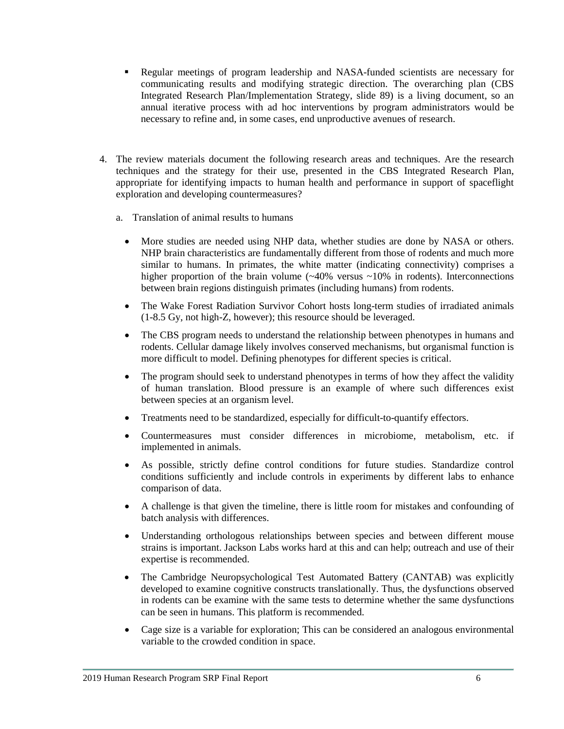- Regular meetings of program leadership and NASA-funded scientists are necessary for communicating results and modifying strategic direction. The overarching plan (CBS Integrated Research Plan/Implementation Strategy, slide 89) is a living document, so an annual iterative process with ad hoc interventions by program administrators would be necessary to refine and, in some cases, end unproductive avenues of research.
- 4. The review materials document the following research areas and techniques. Are the research techniques and the strategy for their use, presented in the CBS Integrated Research Plan, appropriate for identifying impacts to human health and performance in support of spaceflight exploration and developing countermeasures?
	- a. Translation of animal results to humans
		- More studies are needed using NHP data, whether studies are done by NASA or others. NHP brain characteristics are fundamentally different from those of rodents and much more similar to humans. In primates, the white matter (indicating connectivity) comprises a higher proportion of the brain volume  $(\sim 40\%$  versus  $\sim 10\%$  in rodents). Interconnections between brain regions distinguish primates (including humans) from rodents.
		- The Wake Forest Radiation Survivor Cohort hosts long-term studies of irradiated animals (1-8.5 Gy, not high-Z, however); this resource should be leveraged.
		- The CBS program needs to understand the relationship between phenotypes in humans and rodents. Cellular damage likely involves conserved mechanisms, but organismal function is more difficult to model. Defining phenotypes for different species is critical.
		- The program should seek to understand phenotypes in terms of how they affect the validity of human translation. Blood pressure is an example of where such differences exist between species at an organism level.
		- Treatments need to be standardized, especially for difficult-to-quantify effectors.
		- Countermeasures must consider differences in microbiome, metabolism, etc. if implemented in animals.
		- As possible, strictly define control conditions for future studies. Standardize control conditions sufficiently and include controls in experiments by different labs to enhance comparison of data.
		- A challenge is that given the timeline, there is little room for mistakes and confounding of batch analysis with differences.
		- Understanding orthologous relationships between species and between different mouse strains is important. Jackson Labs works hard at this and can help; outreach and use of their expertise is recommended.
		- The Cambridge Neuropsychological Test Automated Battery (CANTAB) was explicitly developed to examine cognitive constructs translationally. Thus, the dysfunctions observed in rodents can be examine with the same tests to determine whether the same dysfunctions can be seen in humans. This platform is recommended.
		- Cage size is a variable for exploration; This can be considered an analogous environmental variable to the crowded condition in space.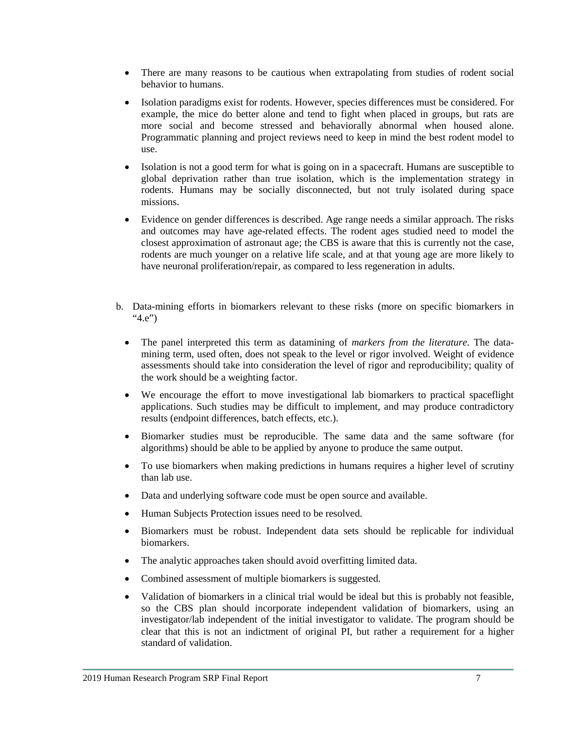- There are many reasons to be cautious when extrapolating from studies of rodent social behavior to humans.
- Isolation paradigms exist for rodents. However, species differences must be considered. For example, the mice do better alone and tend to fight when placed in groups, but rats are more social and become stressed and behaviorally abnormal when housed alone. Programmatic planning and project reviews need to keep in mind the best rodent model to use.
- Isolation is not a good term for what is going on in a spacecraft. Humans are susceptible to global deprivation rather than true isolation, which is the implementation strategy in rodents. Humans may be socially disconnected, but not truly isolated during space missions.
- Evidence on gender differences is described. Age range needs a similar approach. The risks and outcomes may have age-related effects. The rodent ages studied need to model the closest approximation of astronaut age; the CBS is aware that this is currently not the case, rodents are much younger on a relative life scale, and at that young age are more likely to have neuronal proliferation/repair, as compared to less regeneration in adults.
- b. Data-mining efforts in biomarkers relevant to these risks (more on specific biomarkers in "4.e")
	- The panel interpreted this term as datamining of *markers from the literature*. The datamining term, used often, does not speak to the level or rigor involved. Weight of evidence assessments should take into consideration the level of rigor and reproducibility; quality of the work should be a weighting factor.
	- We encourage the effort to move investigational lab biomarkers to practical spaceflight applications. Such studies may be difficult to implement, and may produce contradictory results (endpoint differences, batch effects, etc.).
	- Biomarker studies must be reproducible. The same data and the same software (for algorithms) should be able to be applied by anyone to produce the same output.
	- To use biomarkers when making predictions in humans requires a higher level of scrutiny than lab use.
	- Data and underlying software code must be open source and available.
	- Human Subjects Protection issues need to be resolved.
	- Biomarkers must be robust. Independent data sets should be replicable for individual biomarkers.
	- The analytic approaches taken should avoid overfitting limited data.
	- Combined assessment of multiple biomarkers is suggested.
	- Validation of biomarkers in a clinical trial would be ideal but this is probably not feasible, so the CBS plan should incorporate independent validation of biomarkers, using an investigator/lab independent of the initial investigator to validate. The program should be clear that this is not an indictment of original PI, but rather a requirement for a higher standard of validation.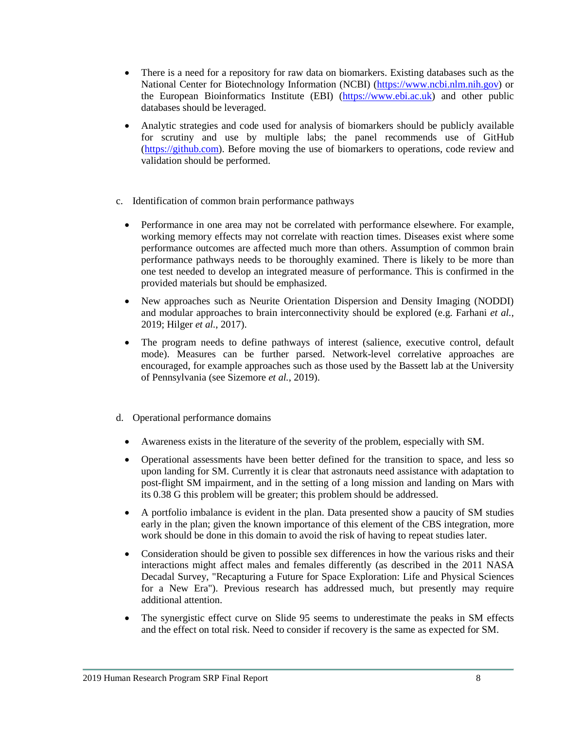- There is a need for a repository for raw data on biomarkers. Existing databases such as the National Center for Biotechnology Information (NCBI) [\(https://www.ncbi.nlm.nih.gov\)](https://www.ncbi.nlm.nih.gov/) or the European Bioinformatics Institute (EBI) [\(https://www.ebi.ac.uk\)](https://www.ebi.ac.uk/) and other public databases should be leveraged.
- Analytic strategies and code used for analysis of biomarkers should be publicly available for scrutiny and use by multiple labs; the panel recommends use of GitHub [\(https://github.com\)](https://github.com/). Before moving the use of biomarkers to operations, code review and validation should be performed.
- c. Identification of common brain performance pathways
	- Performance in one area may not be correlated with performance elsewhere. For example, working memory effects may not correlate with reaction times. Diseases exist where some performance outcomes are affected much more than others. Assumption of common brain performance pathways needs to be thoroughly examined. There is likely to be more than one test needed to develop an integrated measure of performance. This is confirmed in the provided materials but should be emphasized.
	- New approaches such as Neurite Orientation Dispersion and Density Imaging (NODDI) and modular approaches to brain interconnectivity should be explored (e.g. Farhani *et al.*, 2019; Hilger *et al.*, 2017).
	- The program needs to define pathways of interest (salience, executive control, default mode). Measures can be further parsed. Network-level correlative approaches are encouraged, for example approaches such as those used by the Bassett lab at the University of Pennsylvania (see Sizemore *et al.*, 2019).
- d. Operational performance domains
	- Awareness exists in the literature of the severity of the problem, especially with SM.
	- Operational assessments have been better defined for the transition to space, and less so upon landing for SM. Currently it is clear that astronauts need assistance with adaptation to post-flight SM impairment, and in the setting of a long mission and landing on Mars with its 0.38 G this problem will be greater; this problem should be addressed.
	- A portfolio imbalance is evident in the plan. Data presented show a paucity of SM studies early in the plan; given the known importance of this element of the CBS integration, more work should be done in this domain to avoid the risk of having to repeat studies later.
	- Consideration should be given to possible sex differences in how the various risks and their interactions might affect males and females differently (as described in the 2011 NASA Decadal Survey, "Recapturing a Future for Space Exploration: Life and Physical Sciences for a New Era"). Previous research has addressed much, but presently may require additional attention.
	- The synergistic effect curve on Slide 95 seems to underestimate the peaks in SM effects and the effect on total risk. Need to consider if recovery is the same as expected for SM.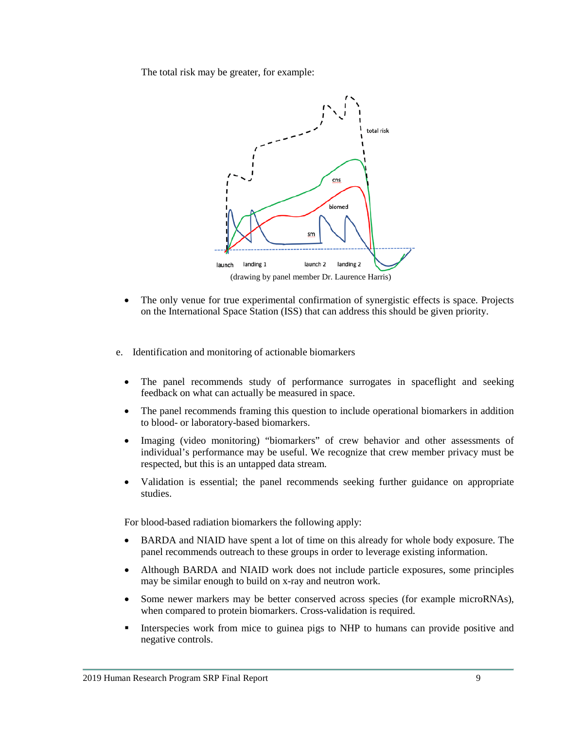The total risk may be greater, for example:



- The only venue for true experimental confirmation of synergistic effects is space. Projects on the International Space Station (ISS) that can address this should be given priority.
- e. Identification and monitoring of actionable biomarkers
	- The panel recommends study of performance surrogates in spaceflight and seeking feedback on what can actually be measured in space.
	- The panel recommends framing this question to include operational biomarkers in addition to blood- or laboratory-based biomarkers.
	- Imaging (video monitoring) "biomarkers" of crew behavior and other assessments of individual's performance may be useful. We recognize that crew member privacy must be respected, but this is an untapped data stream.
	- Validation is essential; the panel recommends seeking further guidance on appropriate studies.

For blood-based radiation biomarkers the following apply:

- BARDA and NIAID have spent a lot of time on this already for whole body exposure. The panel recommends outreach to these groups in order to leverage existing information.
- Although BARDA and NIAID work does not include particle exposures, some principles may be similar enough to build on x-ray and neutron work.
- Some newer markers may be better conserved across species (for example microRNAs), when compared to protein biomarkers. Cross-validation is required.
- Interspecies work from mice to guinea pigs to NHP to humans can provide positive and negative controls.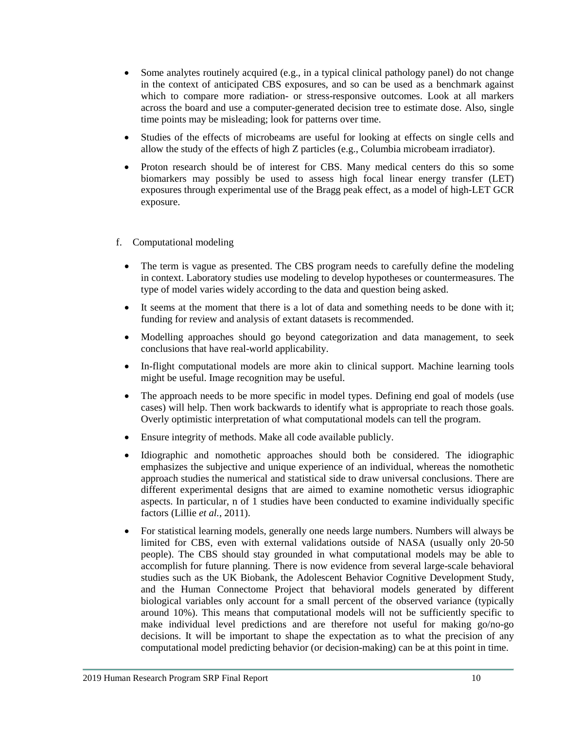- Some analytes routinely acquired (e.g., in a typical clinical pathology panel) do not change in the context of anticipated CBS exposures, and so can be used as a benchmark against which to compare more radiation- or stress-responsive outcomes. Look at all markers across the board and use a computer-generated decision tree to estimate dose. Also, single time points may be misleading; look for patterns over time.
- Studies of the effects of microbeams are useful for looking at effects on single cells and allow the study of the effects of high Z particles (e.g., Columbia microbeam irradiator).
- Proton research should be of interest for CBS. Many medical centers do this so some biomarkers may possibly be used to assess high focal linear energy transfer (LET) exposures through experimental use of the Bragg peak effect, as a model of high-LET GCR exposure.
- f. Computational modeling
	- The term is vague as presented. The CBS program needs to carefully define the modeling in context. Laboratory studies use modeling to develop hypotheses or countermeasures. The type of model varies widely according to the data and question being asked.
	- It seems at the moment that there is a lot of data and something needs to be done with it; funding for review and analysis of extant datasets is recommended.
	- Modelling approaches should go beyond categorization and data management, to seek conclusions that have real-world applicability.
	- In-flight computational models are more akin to clinical support. Machine learning tools might be useful. Image recognition may be useful.
	- The approach needs to be more specific in model types. Defining end goal of models (use cases) will help. Then work backwards to identify what is appropriate to reach those goals. Overly optimistic interpretation of what computational models can tell the program.
	- Ensure integrity of methods. Make all code available publicly.
	- Idiographic and nomothetic approaches should both be considered. The idiographic emphasizes the subjective and unique experience of an individual, whereas the nomothetic approach studies the numerical and statistical side to draw universal conclusions. There are different experimental designs that are aimed to examine nomothetic versus idiographic aspects. In particular, n of 1 studies have been conducted to examine individually specific factors (Lillie *et al.*, 2011).
	- For statistical learning models, generally one needs large numbers. Numbers will always be limited for CBS, even with external validations outside of NASA (usually only 20-50 people). The CBS should stay grounded in what computational models may be able to accomplish for future planning. There is now evidence from several large-scale behavioral studies such as the UK Biobank, the Adolescent Behavior Cognitive Development Study, and the Human Connectome Project that behavioral models generated by different biological variables only account for a small percent of the observed variance (typically around 10%). This means that computational models will not be sufficiently specific to make individual level predictions and are therefore not useful for making go/no-go decisions. It will be important to shape the expectation as to what the precision of any computational model predicting behavior (or decision-making) can be at this point in time.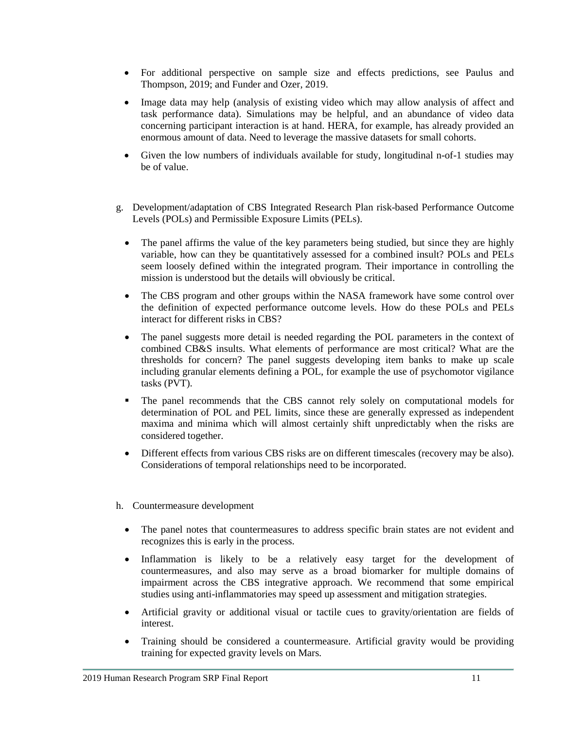- For additional perspective on sample size and effects predictions, see Paulus and Thompson, 2019; and Funder and Ozer, 2019.
- Image data may help (analysis of existing video which may allow analysis of affect and task performance data). Simulations may be helpful, and an abundance of video data concerning participant interaction is at hand. HERA, for example, has already provided an enormous amount of data. Need to leverage the massive datasets for small cohorts.
- Given the low numbers of individuals available for study, longitudinal n-of-1 studies may be of value.
- g. Development/adaptation of CBS Integrated Research Plan risk-based Performance Outcome Levels (POLs) and Permissible Exposure Limits (PELs).
	- The panel affirms the value of the key parameters being studied, but since they are highly variable, how can they be quantitatively assessed for a combined insult? POLs and PELs seem loosely defined within the integrated program. Their importance in controlling the mission is understood but the details will obviously be critical.
	- The CBS program and other groups within the NASA framework have some control over the definition of expected performance outcome levels. How do these POLs and PELs interact for different risks in CBS?
	- The panel suggests more detail is needed regarding the POL parameters in the context of combined CB&S insults. What elements of performance are most critical? What are the thresholds for concern? The panel suggests developing item banks to make up scale including granular elements defining a POL, for example the use of psychomotor vigilance tasks (PVT).
	- The panel recommends that the CBS cannot rely solely on computational models for determination of POL and PEL limits, since these are generally expressed as independent maxima and minima which will almost certainly shift unpredictably when the risks are considered together.
	- Different effects from various CBS risks are on different timescales (recovery may be also). Considerations of temporal relationships need to be incorporated.
- h. Countermeasure development
	- The panel notes that countermeasures to address specific brain states are not evident and recognizes this is early in the process.
	- Inflammation is likely to be a relatively easy target for the development of countermeasures, and also may serve as a broad biomarker for multiple domains of impairment across the CBS integrative approach. We recommend that some empirical studies using anti-inflammatories may speed up assessment and mitigation strategies.
	- Artificial gravity or additional visual or tactile cues to gravity/orientation are fields of interest.
	- Training should be considered a countermeasure. Artificial gravity would be providing training for expected gravity levels on Mars.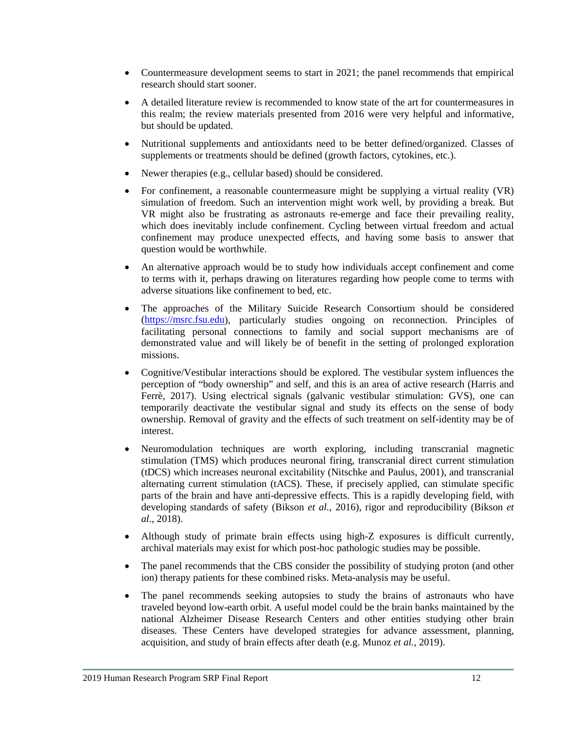- Countermeasure development seems to start in 2021; the panel recommends that empirical research should start sooner.
- A detailed literature review is recommended to know state of the art for countermeasures in this realm; the review materials presented from 2016 were very helpful and informative, but should be updated.
- Nutritional supplements and antioxidants need to be better defined/organized. Classes of supplements or treatments should be defined (growth factors, cytokines, etc.).
- Newer therapies (e.g., cellular based) should be considered.
- For confinement, a reasonable countermeasure might be supplying a virtual reality (VR) simulation of freedom. Such an intervention might work well, by providing a break. But VR might also be frustrating as astronauts re-emerge and face their prevailing reality, which does inevitably include confinement. Cycling between virtual freedom and actual confinement may produce unexpected effects, and having some basis to answer that question would be worthwhile.
- An alternative approach would be to study how individuals accept confinement and come to terms with it, perhaps drawing on literatures regarding how people come to terms with adverse situations like confinement to bed, etc.
- The approaches of the Military Suicide Research Consortium should be considered [\(https://msrc.fsu.edu\)](https://msrc.fsu.edu/), particularly studies ongoing on reconnection. Principles of facilitating personal connections to family and social support mechanisms are of demonstrated value and will likely be of benefit in the setting of prolonged exploration missions.
- Cognitive/Vestibular interactions should be explored. The vestibular system influences the perception of "body ownership" and self, and this is an area of active research (Harris and Ferrè, 2017). Using electrical signals (galvanic vestibular stimulation: GVS), one can temporarily deactivate the vestibular signal and study its effects on the sense of body ownership. Removal of gravity and the effects of such treatment on self-identity may be of interest.
- Neuromodulation techniques are worth exploring, including transcranial magnetic stimulation (TMS) which produces neuronal firing, transcranial direct current stimulation (tDCS) which increases neuronal excitability (Nitschke and Paulus, 2001), and transcranial alternating current stimulation (tACS). These, if precisely applied, can stimulate specific parts of the brain and have anti-depressive effects. This is a rapidly developing field, with developing standards of safety (Bikson *et al.*, 2016), rigor and reproducibility (Bikson *et al.*, 2018).
- Although study of primate brain effects using high-Z exposures is difficult currently, archival materials may exist for which post-hoc pathologic studies may be possible.
- The panel recommends that the CBS consider the possibility of studying proton (and other ion) therapy patients for these combined risks. Meta-analysis may be useful.
- The panel recommends seeking autopsies to study the brains of astronauts who have traveled beyond low-earth orbit. A useful model could be the brain banks maintained by the national Alzheimer Disease Research Centers and other entities studying other brain diseases. These Centers have developed strategies for advance assessment, planning, acquisition, and study of brain effects after death (e.g. Munoz *et al.*, 2019).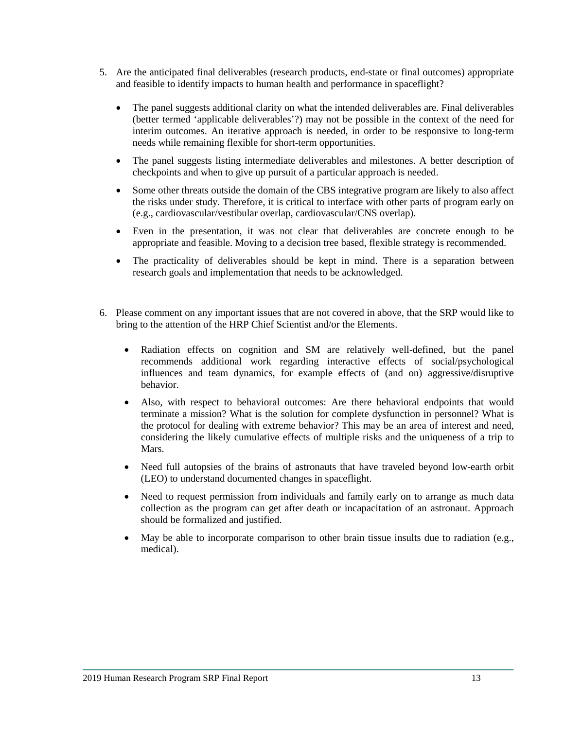- 5. Are the anticipated final deliverables (research products, end-state or final outcomes) appropriate and feasible to identify impacts to human health and performance in spaceflight?
	- The panel suggests additional clarity on what the intended deliverables are. Final deliverables (better termed 'applicable deliverables'?) may not be possible in the context of the need for interim outcomes. An iterative approach is needed, in order to be responsive to long-term needs while remaining flexible for short-term opportunities.
	- The panel suggests listing intermediate deliverables and milestones. A better description of checkpoints and when to give up pursuit of a particular approach is needed.
	- Some other threats outside the domain of the CBS integrative program are likely to also affect the risks under study. Therefore, it is critical to interface with other parts of program early on (e.g., cardiovascular/vestibular overlap, cardiovascular/CNS overlap).
	- Even in the presentation, it was not clear that deliverables are concrete enough to be appropriate and feasible. Moving to a decision tree based, flexible strategy is recommended.
	- The practicality of deliverables should be kept in mind. There is a separation between research goals and implementation that needs to be acknowledged.
- 6. Please comment on any important issues that are not covered in above, that the SRP would like to bring to the attention of the HRP Chief Scientist and/or the Elements.
	- Radiation effects on cognition and SM are relatively well-defined, but the panel recommends additional work regarding interactive effects of social/psychological influences and team dynamics, for example effects of (and on) aggressive/disruptive behavior.
	- Also, with respect to behavioral outcomes: Are there behavioral endpoints that would terminate a mission? What is the solution for complete dysfunction in personnel? What is the protocol for dealing with extreme behavior? This may be an area of interest and need, considering the likely cumulative effects of multiple risks and the uniqueness of a trip to Mars.
	- Need full autopsies of the brains of astronauts that have traveled beyond low-earth orbit (LEO) to understand documented changes in spaceflight.
	- Need to request permission from individuals and family early on to arrange as much data collection as the program can get after death or incapacitation of an astronaut. Approach should be formalized and justified.
	- May be able to incorporate comparison to other brain tissue insults due to radiation (e.g., medical).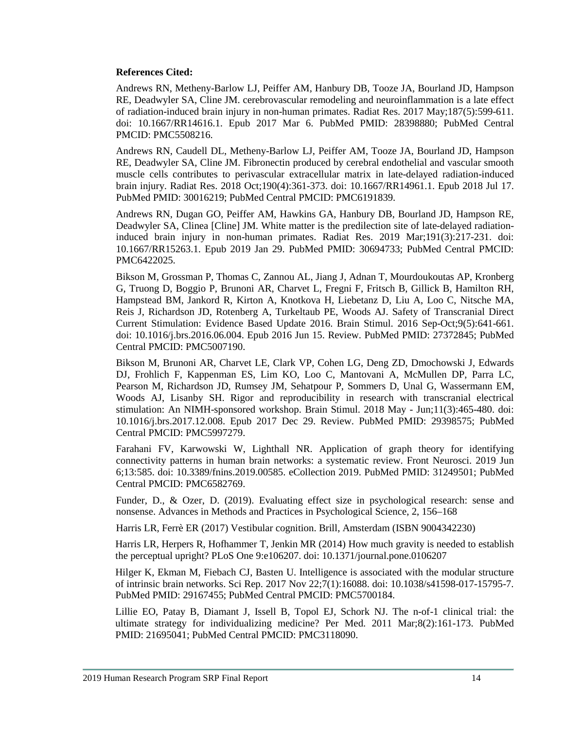### **References Cited:**

Andrews RN, Metheny-Barlow LJ, Peiffer AM, Hanbury DB, Tooze JA, Bourland JD, Hampson RE, Deadwyler SA, Cline JM. cerebrovascular remodeling and neuroinflammation is a late effect of radiation-induced brain injury in non-human primates. Radiat Res. 2017 May;187(5):599-611. doi: 10.1667/RR14616.1. Epub 2017 Mar 6. PubMed PMID: 28398880; PubMed Central PMCID: PMC5508216.

Andrews RN, Caudell DL, Metheny-Barlow LJ, Peiffer AM, Tooze JA, Bourland JD, Hampson RE, Deadwyler SA, Cline JM. Fibronectin produced by cerebral endothelial and vascular smooth muscle cells contributes to perivascular extracellular matrix in late-delayed radiation-induced brain injury. Radiat Res. 2018 Oct;190(4):361-373. doi: 10.1667/RR14961.1. Epub 2018 Jul 17. PubMed PMID: 30016219; PubMed Central PMCID: PMC6191839.

Andrews RN, Dugan GO, Peiffer AM, Hawkins GA, Hanbury DB, Bourland JD, Hampson RE, Deadwyler SA, Clinea [Cline] JM. White matter is the predilection site of late-delayed radiationinduced brain injury in non-human primates. Radiat Res. 2019 Mar;191(3):217-231. doi: 10.1667/RR15263.1. Epub 2019 Jan 29. PubMed PMID: 30694733; PubMed Central PMCID: PMC6422025.

Bikson M, Grossman P, Thomas C, Zannou AL, Jiang J, Adnan T, Mourdoukoutas AP, Kronberg G, Truong D, Boggio P, Brunoni AR, Charvet L, Fregni F, Fritsch B, Gillick B, Hamilton RH, Hampstead BM, Jankord R, Kirton A, Knotkova H, Liebetanz D, Liu A, Loo C, Nitsche MA, Reis J, Richardson JD, Rotenberg A, Turkeltaub PE, Woods AJ. Safety of Transcranial Direct Current Stimulation: Evidence Based Update 2016. Brain Stimul. 2016 Sep-Oct;9(5):641-661. doi: 10.1016/j.brs.2016.06.004. Epub 2016 Jun 15. Review. PubMed PMID: 27372845; PubMed Central PMCID: PMC5007190.

Bikson M, Brunoni AR, Charvet LE, Clark VP, Cohen LG, Deng ZD, Dmochowski J, Edwards DJ, Frohlich F, Kappenman ES, Lim KO, Loo C, Mantovani A, McMullen DP, Parra LC, Pearson M, Richardson JD, Rumsey JM, Sehatpour P, Sommers D, Unal G, Wassermann EM, Woods AJ, Lisanby SH. Rigor and reproducibility in research with transcranial electrical stimulation: An NIMH-sponsored workshop. Brain Stimul. 2018 May - Jun;11(3):465-480. doi: 10.1016/j.brs.2017.12.008. Epub 2017 Dec 29. Review. PubMed PMID: 29398575; PubMed Central PMCID: PMC5997279.

Farahani FV, Karwowski W, Lighthall NR. Application of graph theory for identifying connectivity patterns in human brain networks: a systematic review. Front Neurosci. 2019 Jun 6;13:585. doi: 10.3389/fnins.2019.00585. eCollection 2019. PubMed PMID: 31249501; PubMed Central PMCID: PMC6582769.

Funder, D., & Ozer, D. (2019). Evaluating effect size in psychological research: sense and nonsense. Advances in Methods and Practices in Psychological Science, 2, 156–168

Harris LR, Ferrè ER (2017) Vestibular cognition. Brill, Amsterdam (ISBN 9004342230)

Harris LR, Herpers R, Hofhammer T, Jenkin MR (2014) How much gravity is needed to establish the perceptual upright? PLoS One 9:e106207. doi: 10.1371/journal.pone.0106207

Hilger K, Ekman M, Fiebach CJ, Basten U. Intelligence is associated with the modular structure of intrinsic brain networks. Sci Rep. 2017 Nov 22;7(1):16088. doi: 10.1038/s41598-017-15795-7. PubMed PMID: 29167455; PubMed Central PMCID: PMC5700184.

Lillie EO, Patay B, Diamant J, Issell B, Topol EJ, Schork NJ. The n-of-1 clinical trial: the ultimate strategy for individualizing medicine? Per Med. 2011 Mar;8(2):161-173. PubMed PMID: 21695041; PubMed Central PMCID: PMC3118090.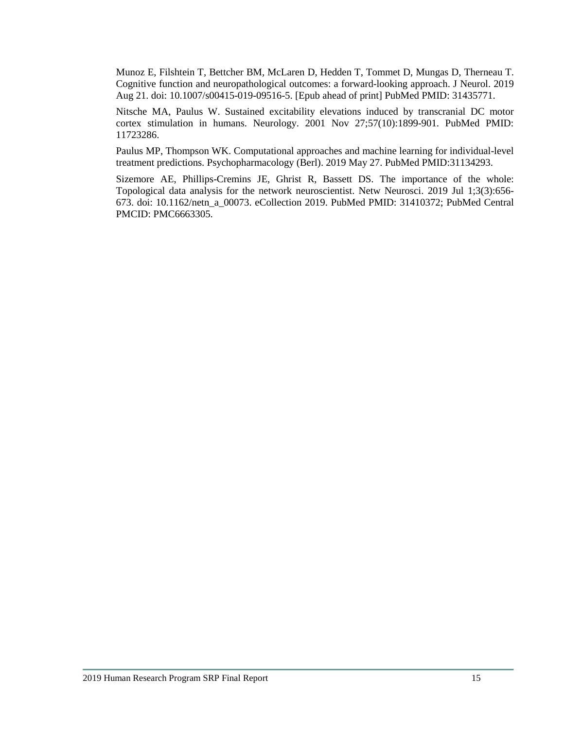Munoz E, Filshtein T, Bettcher BM, McLaren D, Hedden T, Tommet D, Mungas D, Therneau T. Cognitive function and neuropathological outcomes: a forward-looking approach. J Neurol. 2019 Aug 21. doi: 10.1007/s00415-019-09516-5. [Epub ahead of print] PubMed PMID: 31435771.

Nitsche MA, Paulus W. Sustained excitability elevations induced by transcranial DC motor cortex stimulation in humans. Neurology. 2001 Nov 27;57(10):1899-901. PubMed PMID: 11723286.

Paulus MP, Thompson WK. Computational approaches and machine learning for individual-level treatment predictions. Psychopharmacology (Berl). 2019 May 27. PubMed PMID:31134293.

Sizemore AE, Phillips-Cremins JE, Ghrist R, Bassett DS. The importance of the whole: Topological data analysis for the network neuroscientist. Netw Neurosci. 2019 Jul 1;3(3):656- 673. doi: 10.1162/netn\_a\_00073. eCollection 2019. PubMed PMID: 31410372; PubMed Central PMCID: PMC6663305.